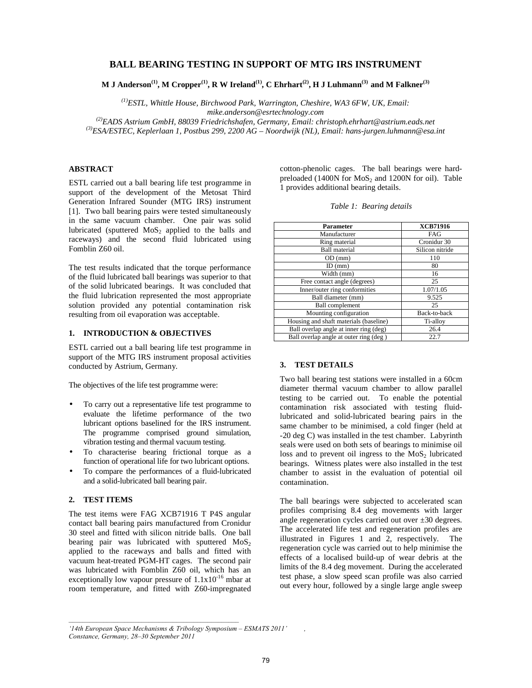# **BALL BEARING TESTING IN SUPPORT OF MTG IRS INSTRUMENT**

**M J Anderson(1), M Cropper(1), R W Ireland(1), C Ehrhart(2), H J Luhmann(3) and M Falkner(3)**

*(1)ESTL, Whittle House, Birchwood Park, Warrington, Cheshire, WA3 6FW, UK, Email: mike.anderson@esrtechnology.com* 

*(2)EADS Astrium GmbH, 88039 Friedrichshafen, Germany, Email: christoph.ehrhart@astrium.eads.net (3)ESA/ESTEC, Keplerlaan 1, Postbus 299, 2200 AG – Noordwijk (NL), Email: hans-jurgen.luhmann@esa.int* 

## **ABSTRACT**

ESTL carried out a ball bearing life test programme in support of the development of the Metosat Third Generation Infrared Sounder (MTG IRS) instrument [1]. Two ball bearing pairs were tested simultaneously in the same vacuum chamber. One pair was solid lubricated (sputtered  $MoS<sub>2</sub>$  applied to the balls and raceways) and the second fluid lubricated using Fomblin Z60 oil.

The test results indicated that the torque performance of the fluid lubricated ball bearings was superior to that of the solid lubricated bearings. It was concluded that the fluid lubrication represented the most appropriate solution provided any potential contamination risk resulting from oil evaporation was acceptable.

### **1. INTRODUCTION & OBJECTIVES**

ESTL carried out a ball bearing life test programme in support of the MTG IRS instrument proposal activities conducted by Astrium, Germany.

The objectives of the life test programme were:

- To carry out a representative life test programme to evaluate the lifetime performance of the two lubricant options baselined for the IRS instrument. The programme comprised ground simulation, vibration testing and thermal vacuum testing.
- To characterise bearing frictional torque as a function of operational life for two lubricant options.
- To compare the performances of a fluid-lubricated and a solid-lubricated ball bearing pair.

## **2. TEST ITEMS**

The test items were FAG XCB71916 T P4S angular contact ball bearing pairs manufactured from Cronidur 30 steel and fitted with silicon nitride balls. One ball bearing pair was lubricated with sputtered  $MoS<sub>2</sub>$ applied to the raceways and balls and fitted with vacuum heat-treated PGM-HT cages. The second pair was lubricated with Fomblin Z60 oil, which has an exceptionally low vapour pressure of  $1.1x10^{-16}$  mbar at room temperature, and fitted with Z60-impregnated

cotton-phenolic cages. The ball bearings were hardpreloaded  $(1400N$  for  $MoS<sub>2</sub>$  and  $1200N$  for oil). Table 1 provides additional bearing details.

| <b>Parameter</b>                       | <b>XCB71916</b> |  |  |
|----------------------------------------|-----------------|--|--|
| Manufacturer                           | FAG             |  |  |
| Ring material                          | Cronidur 30     |  |  |
| <b>Ball</b> material                   | Silicon nitride |  |  |
| OD (mm)                                | 110             |  |  |
| $ID$ (mm)                              | 80              |  |  |
| Width (mm)                             | 16              |  |  |
| Free contact angle (degrees)           | 25              |  |  |
| Inner/outer ring conformities          | 1.07/1.05       |  |  |
| Ball diameter (mm)                     | 9.525           |  |  |
| <b>Ball</b> complement                 | 25              |  |  |
| Mounting configuration                 | Back-to-back    |  |  |
| Housing and shaft materials (baseline) | Ti-alloy        |  |  |
| Ball overlap angle at inner ring (deg) | 26.4            |  |  |
| Ball overlap angle at outer ring (deg) | 22.7            |  |  |

# **3. TEST DETAILS**

Two ball bearing test stations were installed in a 60cm diameter thermal vacuum chamber to allow parallel testing to be carried out. To enable the potential contamination risk associated with testing fluidlubricated and solid-lubricated bearing pairs in the same chamber to be minimised, a cold finger (held at -20 deg C) was installed in the test chamber. Labyrinth seals were used on both sets of bearings to minimise oil loss and to prevent oil ingress to the  $MoS<sub>2</sub>$  lubricated bearings. Witness plates were also installed in the test chamber to assist in the evaluation of potential oil contamination.

The ball bearings were subjected to accelerated scan profiles comprising 8.4 deg movements with larger angle regeneration cycles carried out over  $\pm 30$  degrees. The accelerated life test and regeneration profiles are illustrated in Figures 1 and 2, respectively. The regeneration cycle was carried out to help minimise the effects of a localised build-up of wear debris at the limits of the 8.4 deg movement. During the accelerated test phase, a slow speed scan profile was also carried out every hour, followed by a single large angle sweep

*'*

*<sup>&#</sup>x27;14th European Space Mechanisms & Tribology Symposium – ESMATS 2011'* 

*Constance, Germany, 28–30 September 2011*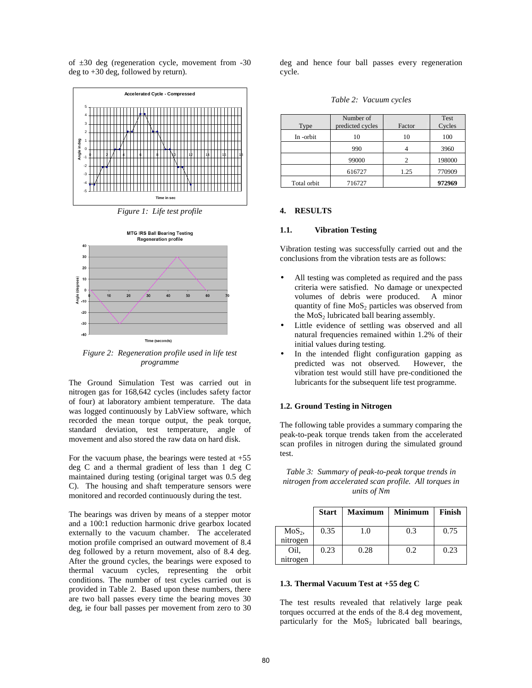of ±30 deg (regeneration cycle, movement from -30 deg to +30 deg, followed by return).



*Figure 1: Life test profile* 



*Figure 2: Regeneration profile used in life test programme* 

The Ground Simulation Test was carried out in nitrogen gas for 168,642 cycles (includes safety factor of four) at laboratory ambient temperature. The data was logged continuously by LabView software, which recorded the mean torque output, the peak torque, standard deviation, test temperature, angle of movement and also stored the raw data on hard disk.

For the vacuum phase, the bearings were tested at  $+55$ deg C and a thermal gradient of less than 1 deg C maintained during testing (original target was 0.5 deg C). The housing and shaft temperature sensors were monitored and recorded continuously during the test.

The bearings was driven by means of a stepper motor and a 100:1 reduction harmonic drive gearbox located externally to the vacuum chamber. The accelerated motion profile comprised an outward movement of 8.4 deg followed by a return movement, also of 8.4 deg. After the ground cycles, the bearings were exposed to thermal vacuum cycles, representing the orbit conditions. The number of test cycles carried out is provided in Table 2. Based upon these numbers, there are two ball passes every time the bearing moves 30 deg, ie four ball passes per movement from zero to 30

deg and hence four ball passes every regeneration cycle.

*Table 2: Vacuum cycles* 

| Type        | Number of<br>predicted cycles | Factor | Test<br>Cycles |
|-------------|-------------------------------|--------|----------------|
| In-orbit    | 10                            | 10     | 100            |
|             | 990                           |        | 3960           |
|             | 99000                         | 2      | 198000         |
|             | 616727                        | 1.25   | 770909         |
| Total orbit | 716727                        |        | 972969         |

#### **4. RESULTS**

### **1.1. Vibration Testing**

Vibration testing was successfully carried out and the conclusions from the vibration tests are as follows:

- All testing was completed as required and the pass criteria were satisfied. No damage or unexpected volumes of debris were produced. A minor quantity of fine  $MoS<sub>2</sub>$  particles was observed from the  $MoS<sub>2</sub>$  lubricated ball bearing assembly.
- Little evidence of settling was observed and all natural frequencies remained within 1.2% of their initial values during testing.
- In the intended flight configuration gapping as predicted was not observed. However, the vibration test would still have pre-conditioned the lubricants for the subsequent life test programme.

## **1.2. Ground Testing in Nitrogen**

The following table provides a summary comparing the peak-to-peak torque trends taken from the accelerated scan profiles in nitrogen during the simulated ground test.

*Table 3: Summary of peak-to-peak torque trends in nitrogen from accelerated scan profile. All torques in units of Nm* 

|                      | <b>Start</b> | <b>Maximum</b> | <b>Minimum</b> | Finish |
|----------------------|--------------|----------------|----------------|--------|
| $MoS2$ ,<br>nitrogen | 0.35         | 1.0            | 0.3            | 0.75   |
| Oil.                 | 0.23         | 0.28           | 0.2            | 0.23   |
| nitrogen             |              |                |                |        |

### **1.3. Thermal Vacuum Test at +55 deg C**

The test results revealed that relatively large peak torques occurred at the ends of the 8.4 deg movement, particularly for the  $MoS<sub>2</sub>$  lubricated ball bearings,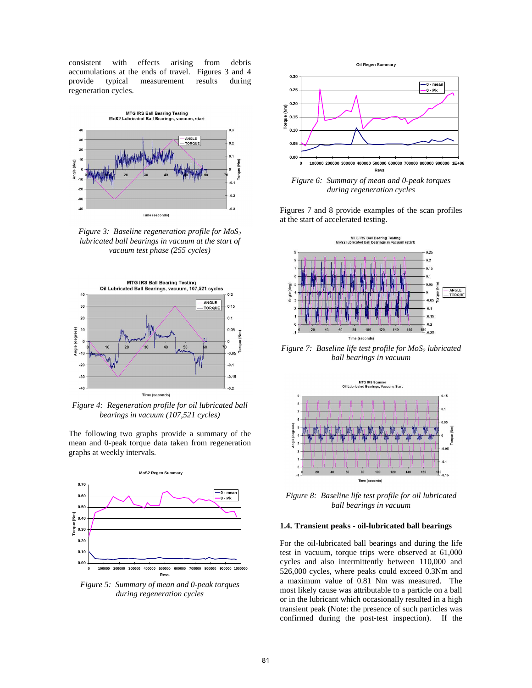consistent with effects arising from debris accumulations at the ends of travel. Figures 3 and 4 provide typical measurement results during provide typical measurement results regeneration cycles.



*Figure 3: Baseline regeneration profile for MoS<sup>2</sup> lubricated ball bearings in vacuum at the start of vacuum test phase (255 cycles)*



*Figure 4: Regeneration profile for oil lubricated ball bearings in vacuum (107,521 cycles)* 

The following two graphs provide a summary of the mean and 0-peak torque data taken from regeneration graphs at weekly intervals.



*Figure 5: Summary of mean and 0-peak torques during regeneration cycles* 



*Figure 6: Summary of mean and 0-peak torques during regeneration cycles* 

Figures 7 and 8 provide examples of the scan profiles at the start of accelerated testing.



*Figure 7: Baseline life test profile for MoS2 lubricated ball bearings in vacuum* 



*Figure 8: Baseline life test profile for oil lubricated ball bearings in vacuum* 

### **1.4. Transient peaks - oil-lubricated ball bearings**

For the oil-lubricated ball bearings and during the life test in vacuum, torque trips were observed at 61,000 cycles and also intermittently between 110,000 and 526,000 cycles, where peaks could exceed 0.3Nm and a maximum value of 0.81 Nm was measured. The most likely cause was attributable to a particle on a ball or in the lubricant which occasionally resulted in a high transient peak (Note: the presence of such particles was confirmed during the post-test inspection). If the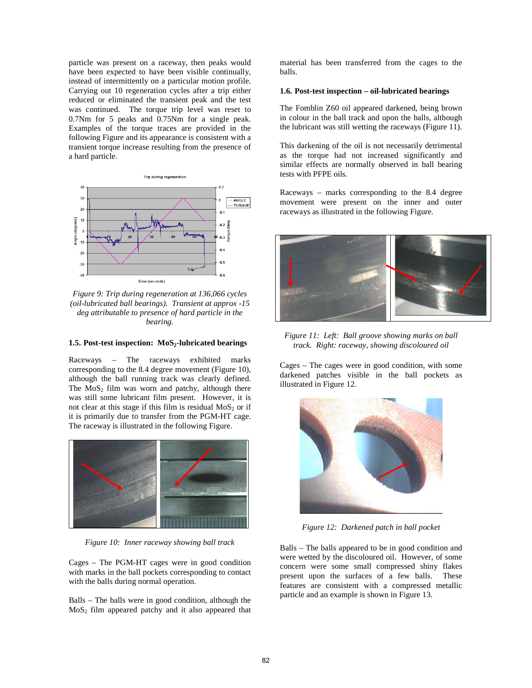particle was present on a raceway, then peaks would have been expected to have been visible continually, instead of intermittently on a particular motion profile. Carrying out 10 regeneration cycles after a trip either reduced or eliminated the transient peak and the test was continued. The torque trip level was reset to 0.7Nm for 5 peaks and 0.75Nm for a single peak. Examples of the torque traces are provided in the following Figure and its appearance is consistent with a transient torque increase resulting from the presence of a hard particle.



*Figure 9: Trip during regeneration at 136,066 cycles (oil-lubricated ball bearings). Transient at approx -15 deg attributable to presence of hard particle in the bearing.* 

#### **1.5. Post-test inspection: MoS2-lubricated bearings**

Raceways – The raceways exhibited marks corresponding to the 8.4 degree movement (Figure 10), although the ball running track was clearly defined. The  $MoS<sub>2</sub>$  film was worn and patchy, although there was still some lubricant film present. However, it is not clear at this stage if this film is residual  $MoS<sub>2</sub>$  or if it is primarily due to transfer from the PGM-HT cage. The raceway is illustrated in the following Figure.



*Figure 10: Inner raceway showing ball track* 

Cages – The PGM-HT cages were in good condition with marks in the ball pockets corresponding to contact with the balls during normal operation.

Balls – The balls were in good condition, although the  $MoS<sub>2</sub>$  film appeared patchy and it also appeared that material has been transferred from the cages to the balls.

## **1.6. Post-test inspection – oil-lubricated bearings**

The Fomblin Z60 oil appeared darkened, being brown in colour in the ball track and upon the balls, although the lubricant was still wetting the raceways (Figure 11).

This darkening of the oil is not necessarily detrimental as the torque had not increased significantly and similar effects are normally observed in ball bearing tests with PFPE oils.

Raceways – marks corresponding to the 8.4 degree movement were present on the inner and outer raceways as illustrated in the following Figure.



*Figure 11: Left: Ball groove showing marks on ball track. Right: raceway, showing discoloured oil* 

Cages – The cages were in good condition, with some darkened patches visible in the ball pockets as illustrated in Figure 12.



*Figure 12: Darkened patch in ball pocket* 

Balls – The balls appeared to be in good condition and were wetted by the discoloured oil. However, of some concern were some small compressed shiny flakes present upon the surfaces of a few balls. These features are consistent with a compressed metallic particle and an example is shown in Figure 13.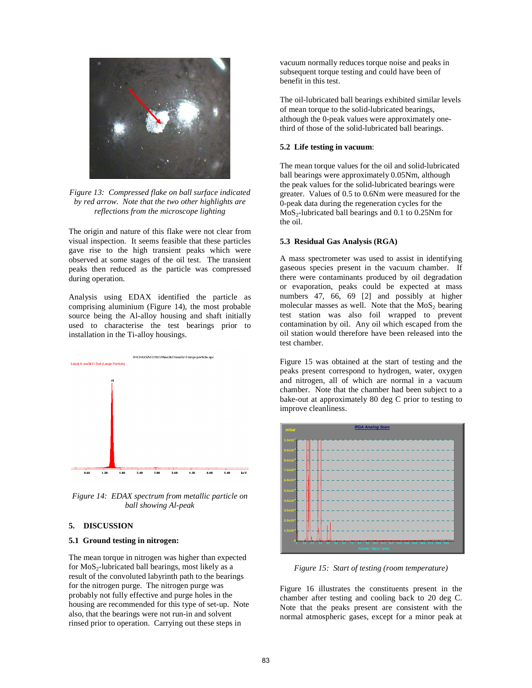

*Figure 13: Compressed flake on ball surface indicated by red arrow. Note that the two other highlights are reflections from the microscope lighting* 

The origin and nature of this flake were not clear from visual inspection. It seems feasible that these particles gave rise to the high transient peaks which were observed at some stages of the oil test. The transient peaks then reduced as the particle was compressed during operation.

Analysis using EDAX identified the particle as comprising aluminium (Figure 14), the most probable source being the Al-alloy housing and shaft initially used to characterise the test bearings prior to installation in the Ti-alloy housings.



*Figure 14: EDAX spectrum from metallic particle on ball showing Al-peak* 

## **5. DISCUSSION**

### **5.1 Ground testing in nitrogen:**

The mean torque in nitrogen was higher than expected for  $MoS_2$ -lubricated ball bearings, most likely as a result of the convoluted labyrinth path to the bearings for the nitrogen purge. The nitrogen purge was probably not fully effective and purge holes in the housing are recommended for this type of set-up. Note also, that the bearings were not run-in and solvent rinsed prior to operation. Carrying out these steps in

vacuum normally reduces torque noise and peaks in subsequent torque testing and could have been of benefit in this test.

The oil-lubricated ball bearings exhibited similar levels of mean torque to the solid-lubricated bearings, although the 0-peak values were approximately onethird of those of the solid-lubricated ball bearings.

### **5.2 Life testing in vacuum**:

The mean torque values for the oil and solid-lubricated ball bearings were approximately 0.05Nm, although the peak values for the solid-lubricated bearings were greater. Values of 0.5 to 0.6Nm were measured for the 0-peak data during the regeneration cycles for the  $MoS<sub>2</sub>$ -lubricated ball bearings and 0.1 to 0.25Nm for the oil.

#### **5.3 Residual Gas Analysis (RGA)**

A mass spectrometer was used to assist in identifying gaseous species present in the vacuum chamber. If there were contaminants produced by oil degradation or evaporation, peaks could be expected at mass numbers 47, 66, 69 [2] and possibly at higher molecular masses as well. Note that the  $MoS<sub>2</sub>$  bearing test station was also foil wrapped to prevent contamination by oil. Any oil which escaped from the oil station would therefore have been released into the test chamber.

Figure 15 was obtained at the start of testing and the peaks present correspond to hydrogen, water, oxygen and nitrogen, all of which are normal in a vacuum chamber. Note that the chamber had been subject to a bake-out at approximately 80 deg C prior to testing to improve cleanliness.



*Figure 15: Start of testing (room temperature)* 

Figure 16 illustrates the constituents present in the chamber after testing and cooling back to 20 deg C. Note that the peaks present are consistent with the normal atmospheric gases, except for a minor peak at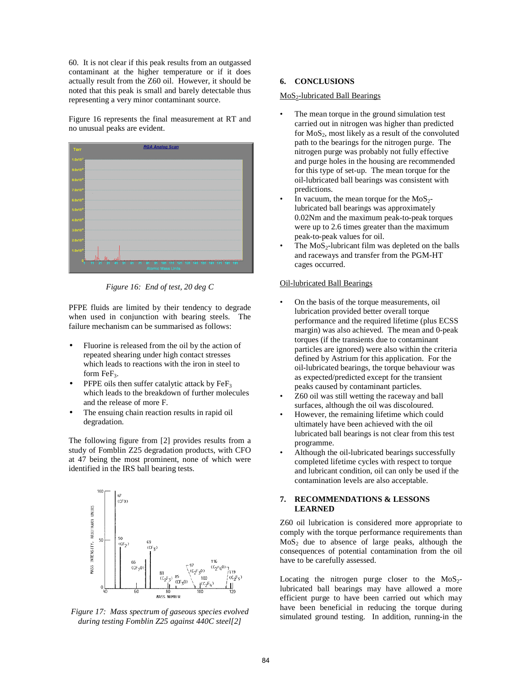60. It is not clear if this peak results from an outgassed contaminant at the higher temperature or if it does actually result from the Z60 oil. However, it should be noted that this peak is small and barely detectable thus representing a very minor contaminant source.

Figure 16 represents the final measurement at RT and no unusual peaks are evident.



*Figure 16: End of test, 20 deg C* 

PFPE fluids are limited by their tendency to degrade when used in conjunction with bearing steels. The failure mechanism can be summarised as follows:

- Fluorine is released from the oil by the action of repeated shearing under high contact stresses which leads to reactions with the iron in steel to form FeF<sub>3</sub>.
- PFPE oils then suffer catalytic attack by  $\text{FeF}_3$ which leads to the breakdown of further molecules and the release of more F.
- The ensuing chain reaction results in rapid oil degradation.

The following figure from [2] provides results from a study of Fomblin Z25 degradation products, with CFO at 47 being the most prominent, none of which were identified in the IRS ball bearing tests.



*Figure 17: Mass spectrum of gaseous species evolved during testing Fomblin Z25 against 440C steel[2]* 

# **6. CONCLUSIONS**

### MoS2-lubricated Ball Bearings

- The mean torque in the ground simulation test carried out in nitrogen was higher than predicted for  $MoS<sub>2</sub>$ , most likely as a result of the convoluted path to the bearings for the nitrogen purge. The nitrogen purge was probably not fully effective and purge holes in the housing are recommended for this type of set-up. The mean torque for the oil-lubricated ball bearings was consistent with predictions.
- In vacuum, the mean torque for the  $MoS_{2}$ lubricated ball bearings was approximately 0.02Nm and the maximum peak-to-peak torques were up to 2.6 times greater than the maximum peak-to-peak values for oil.
- The  $MoS_2$ -lubricant film was depleted on the balls and raceways and transfer from the PGM-HT cages occurred.

## Oil-lubricated Ball Bearings

- On the basis of the torque measurements, oil lubrication provided better overall torque performance and the required lifetime (plus ECSS margin) was also achieved. The mean and 0-peak torques (if the transients due to contaminant particles are ignored) were also within the criteria defined by Astrium for this application. For the oil-lubricated bearings, the torque behaviour was as expected/predicted except for the transient peaks caused by contaminant particles.
- Z60 oil was still wetting the raceway and ball surfaces, although the oil was discoloured.
- However, the remaining lifetime which could ultimately have been achieved with the oil lubricated ball bearings is not clear from this test programme.
- Although the oil-lubricated bearings successfully completed lifetime cycles with respect to torque and lubricant condition, oil can only be used if the contamination levels are also acceptable.

### **7. RECOMMENDATIONS & LESSONS LEARNED**

Z60 oil lubrication is considered more appropriate to comply with the torque performance requirements than  $MoS<sub>2</sub>$  due to absence of large peaks, although the consequences of potential contamination from the oil have to be carefully assessed.

Locating the nitrogen purge closer to the  $MoS<sub>2</sub>$ lubricated ball bearings may have allowed a more efficient purge to have been carried out which may have been beneficial in reducing the torque during simulated ground testing. In addition, running-in the